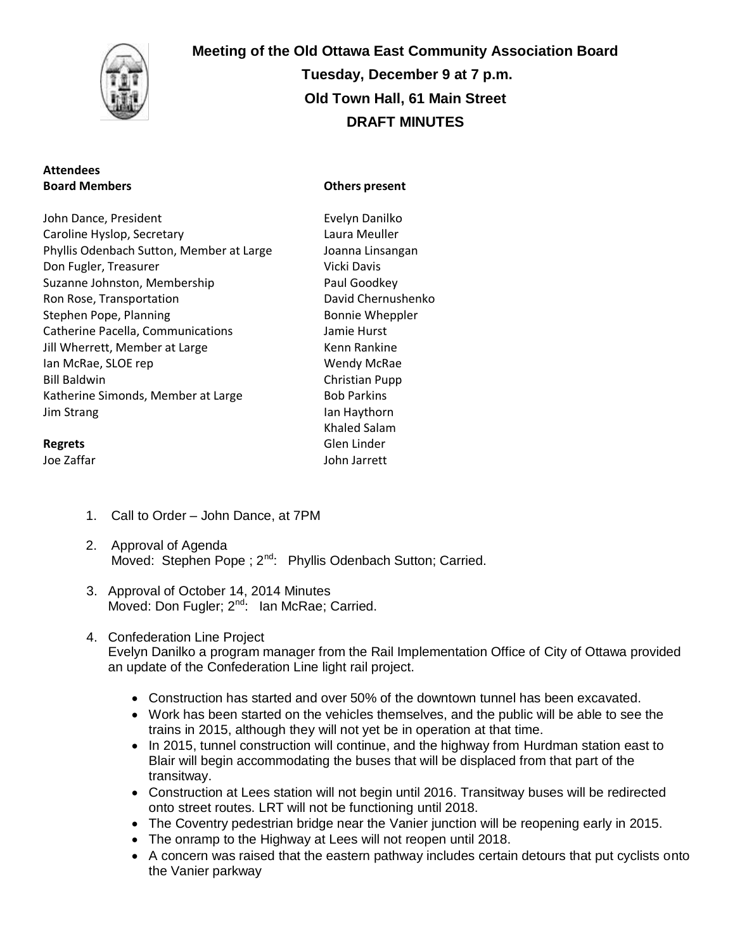

# **Attendees Board Members**

# **Meeting of the Old Ottawa East Community Association Board Tuesday, December 9 at 7 p.m. Old Town Hall, 61 Main Street DRAFT MINUTES**

#### **Others present**

John Dance, President Caroline Hyslop, Secretary Phyllis Odenbach Sutton, Member at Large Don Fugler, Treasurer Suzanne Johnston, Membership Ron Rose, Transportation Stephen Pope, Planning Catherine Pacella, Communications Jill Wherrett, Member at Large Ian McRae, SLOE rep Bill Baldwin Katherine Simonds, Member at Large Jim Strang

# **Regrets**

Joe Zaffar

- Evelyn Danilko Laura Meuller Joanna Linsangan Vicki Davis Paul Goodkey David Chernushenko Bonnie Wheppler Jamie Hurst Kenn Rankine Wendy McRae Christian Pupp Bob Parkins Ian Haythorn Khaled Salam Glen Linder John Jarrett
- 1. Call to Order John Dance, at 7PM
- 2. Approval of Agenda Moved: Stephen Pope ; 2<sup>nd</sup>: Phyllis Odenbach Sutton; Carried.
- 3. Approval of October 14, 2014 Minutes Moved: Don Fugler;  $2^{nd}$ : Ian McRae; Carried.

#### 4. Confederation Line Project Evelyn Danilko a program manager from the Rail Implementation Office of City of Ottawa provided an update of the Confederation Line light rail project.

- Construction has started and over 50% of the downtown tunnel has been excavated.
- Work has been started on the vehicles themselves, and the public will be able to see the trains in 2015, although they will not yet be in operation at that time.
- In 2015, tunnel construction will continue, and the highway from Hurdman station east to Blair will begin accommodating the buses that will be displaced from that part of the transitway.
- Construction at Lees station will not begin until 2016. Transitway buses will be redirected onto street routes. LRT will not be functioning until 2018.
- The Coventry pedestrian bridge near the Vanier junction will be reopening early in 2015.
- The onramp to the Highway at Lees will not reopen until 2018.
- A concern was raised that the eastern pathway includes certain detours that put cyclists onto the Vanier parkway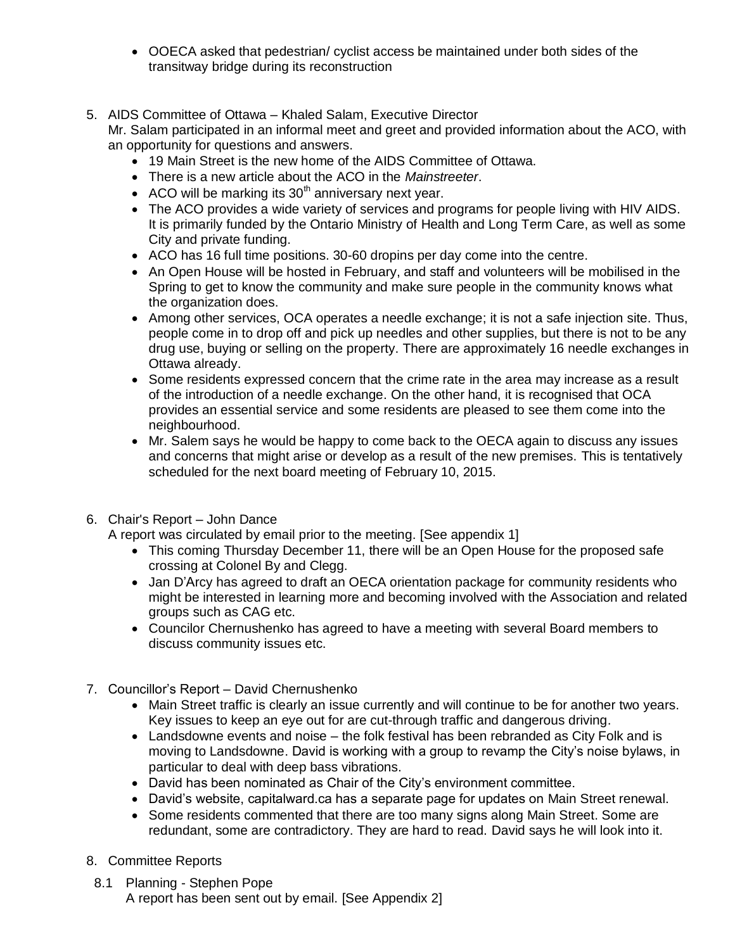- OOECA asked that pedestrian/ cyclist access be maintained under both sides of the transitway bridge during its reconstruction
- 5. AIDS Committee of Ottawa Khaled Salam, Executive Director Mr. Salam participated in an informal meet and greet and provided information about the ACO, with an opportunity for questions and answers.
	- 19 Main Street is the new home of the AIDS Committee of Ottawa.
	- There is a new article about the ACO in the *Mainstreeter*.
	- $\bullet$  ACO will be marking its 30<sup>th</sup> anniversary next year.
	- The ACO provides a wide variety of services and programs for people living with HIV AIDS. It is primarily funded by the Ontario Ministry of Health and Long Term Care, as well as some City and private funding.
	- ACO has 16 full time positions. 30-60 dropins per day come into the centre.
	- An Open House will be hosted in February, and staff and volunteers will be mobilised in the Spring to get to know the community and make sure people in the community knows what the organization does.
	- Among other services, OCA operates a needle exchange; it is not a safe injection site. Thus, people come in to drop off and pick up needles and other supplies, but there is not to be any drug use, buying or selling on the property. There are approximately 16 needle exchanges in Ottawa already.
	- Some residents expressed concern that the crime rate in the area may increase as a result of the introduction of a needle exchange. On the other hand, it is recognised that OCA provides an essential service and some residents are pleased to see them come into the neighbourhood.
	- Mr. Salem says he would be happy to come back to the OECA again to discuss any issues and concerns that might arise or develop as a result of the new premises. This is tentatively scheduled for the next board meeting of February 10, 2015.
- 6. Chair's Report John Dance

A report was circulated by email prior to the meeting. [See appendix 1]

- This coming Thursday December 11, there will be an Open House for the proposed safe crossing at Colonel By and Clegg.
- Jan D'Arcy has agreed to draft an OECA orientation package for community residents who might be interested in learning more and becoming involved with the Association and related groups such as CAG etc.
- Councilor Chernushenko has agreed to have a meeting with several Board members to discuss community issues etc.
- 7. Councillor's Report David Chernushenko
	- Main Street traffic is clearly an issue currently and will continue to be for another two years. Key issues to keep an eye out for are cut-through traffic and dangerous driving.
	- Landsdowne events and noise the folk festival has been rebranded as City Folk and is moving to Landsdowne. David is working with a group to revamp the City's noise bylaws, in particular to deal with deep bass vibrations.
	- David has been nominated as Chair of the City's environment committee.
	- David's website, capitalward.ca has a separate page for updates on Main Street renewal.
	- Some residents commented that there are too many signs along Main Street. Some are redundant, some are contradictory. They are hard to read. David says he will look into it.
- 8. Committee Reports
- 8.1 Planning Stephen Pope A report has been sent out by email. [See Appendix 2]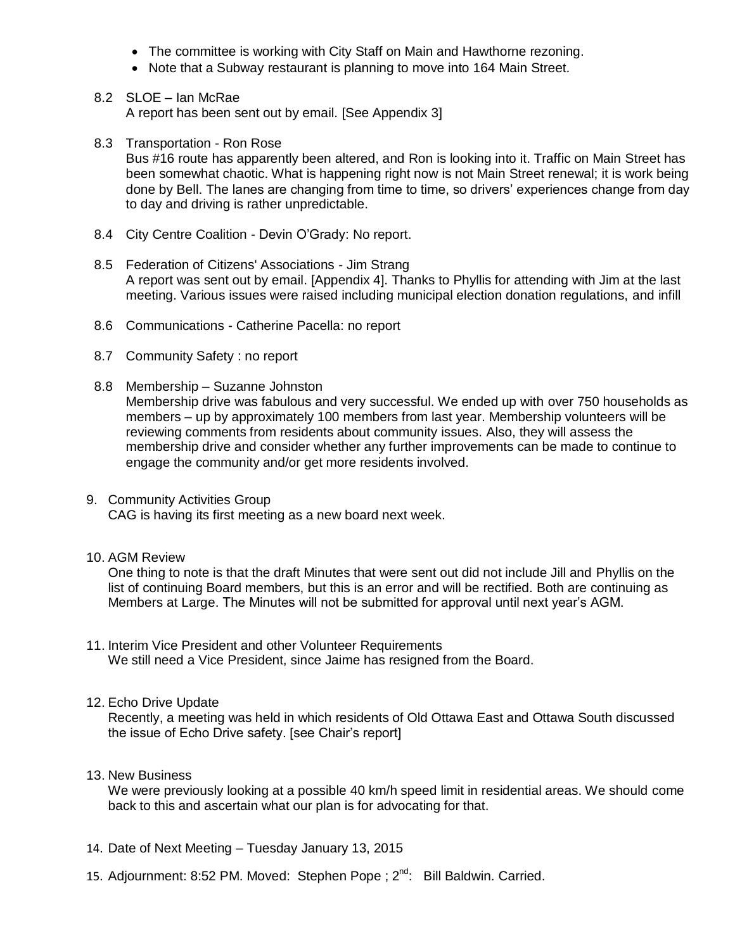- The committee is working with City Staff on Main and Hawthorne rezoning.
- Note that a Subway restaurant is planning to move into 164 Main Street.
- 8.2 SLOE Ian McRae A report has been sent out by email. [See Appendix 3]
- 8.3 Transportation Ron Rose Bus #16 route has apparently been altered, and Ron is looking into it. Traffic on Main Street has been somewhat chaotic. What is happening right now is not Main Street renewal; it is work being done by Bell. The lanes are changing from time to time, so drivers' experiences change from day to day and driving is rather unpredictable.
- 8.4 City Centre Coalition Devin O'Grady: No report.
- 8.5 Federation of Citizens' Associations Jim Strang A report was sent out by email. [Appendix 4]. Thanks to Phyllis for attending with Jim at the last meeting. Various issues were raised including municipal election donation regulations, and infill
- 8.6 Communications Catherine Pacella: no report
- 8.7 Community Safety : no report
- 8.8 Membership Suzanne Johnston Membership drive was fabulous and very successful. We ended up with over 750 households as members – up by approximately 100 members from last year. Membership volunteers will be reviewing comments from residents about community issues. Also, they will assess the membership drive and consider whether any further improvements can be made to continue to engage the community and/or get more residents involved.
- 9. Community Activities Group CAG is having its first meeting as a new board next week.
- 10. AGM Review

One thing to note is that the draft Minutes that were sent out did not include Jill and Phyllis on the list of continuing Board members, but this is an error and will be rectified. Both are continuing as Members at Large. The Minutes will not be submitted for approval until next year's AGM.

- 11. Interim Vice President and other Volunteer Requirements We still need a Vice President, since Jaime has resigned from the Board.
- 12. Echo Drive Update

Recently, a meeting was held in which residents of Old Ottawa East and Ottawa South discussed the issue of Echo Drive safety. [see Chair's report]

13. New Business

We were previously looking at a possible 40 km/h speed limit in residential areas. We should come back to this and ascertain what our plan is for advocating for that.

- 14. Date of Next Meeting Tuesday January 13, 2015
- 15. Adjournment: 8:52 PM. Moved: Stephen Pope ; 2<sup>nd</sup>: Bill Baldwin. Carried.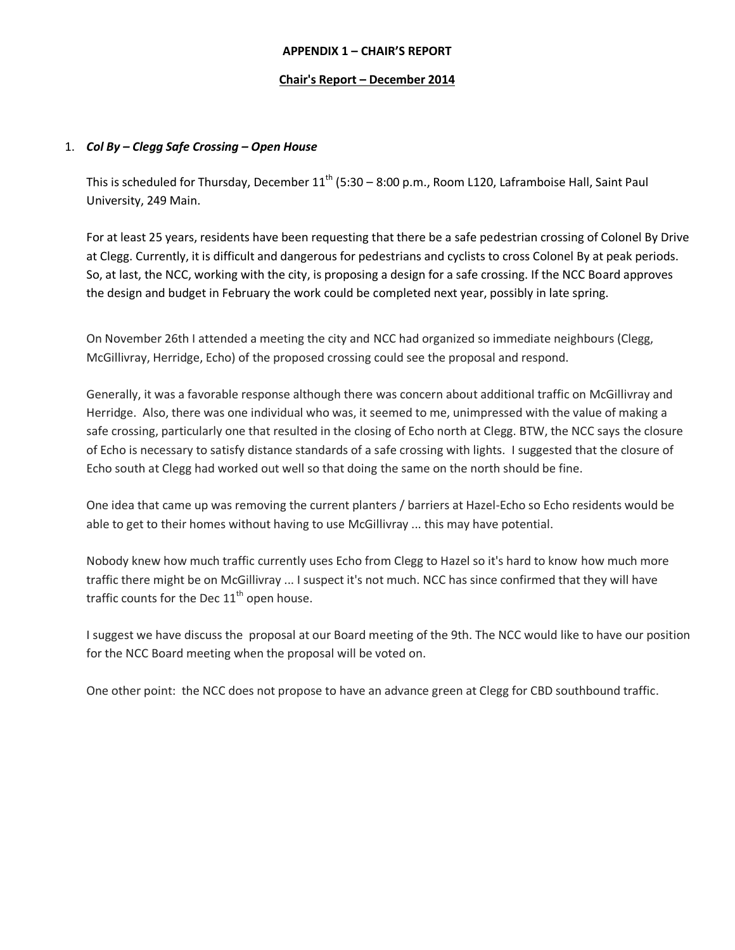#### **APPENDIX 1 – CHAIR'S REPORT**

#### **Chair's Report – December 2014**

#### 1. *Col By – Clegg Safe Crossing – Open House*

This is scheduled for Thursday, December  $11^{th}$  (5:30 – 8:00 p.m., Room L120, Laframboise Hall, Saint Paul University, 249 Main.

For at least 25 years, residents have been requesting that there be a safe pedestrian crossing of Colonel By Drive at Clegg. Currently, it is difficult and dangerous for pedestrians and cyclists to cross Colonel By at peak periods. So, at last, the NCC, working with the city, is proposing a design for a safe crossing. If the NCC Board approves the design and budget in February the work could be completed next year, possibly in late spring.

On November 26th I attended a meeting the city and NCC had organized so immediate neighbours (Clegg, McGillivray, Herridge, Echo) of the proposed crossing could see the proposal and respond.

Generally, it was a favorable response although there was concern about additional traffic on McGillivray and Herridge. Also, there was one individual who was, it seemed to me, unimpressed with the value of making a safe crossing, particularly one that resulted in the closing of Echo north at Clegg. BTW, the NCC says the closure of Echo is necessary to satisfy distance standards of a safe crossing with lights. I suggested that the closure of Echo south at Clegg had worked out well so that doing the same on the north should be fine.

One idea that came up was removing the current planters / barriers at Hazel-Echo so Echo residents would be able to get to their homes without having to use McGillivray ... this may have potential.

Nobody knew how much traffic currently uses Echo from Clegg to Hazel so it's hard to know how much more traffic there might be on McGillivray ... I suspect it's not much. NCC has since confirmed that they will have traffic counts for the Dec  $11<sup>th</sup>$  open house.

I suggest we have discuss the proposal at our Board meeting of the 9th. The NCC would like to have our position for the NCC Board meeting when the proposal will be voted on.

One other point: the NCC does not propose to have an advance green at Clegg for CBD southbound traffic.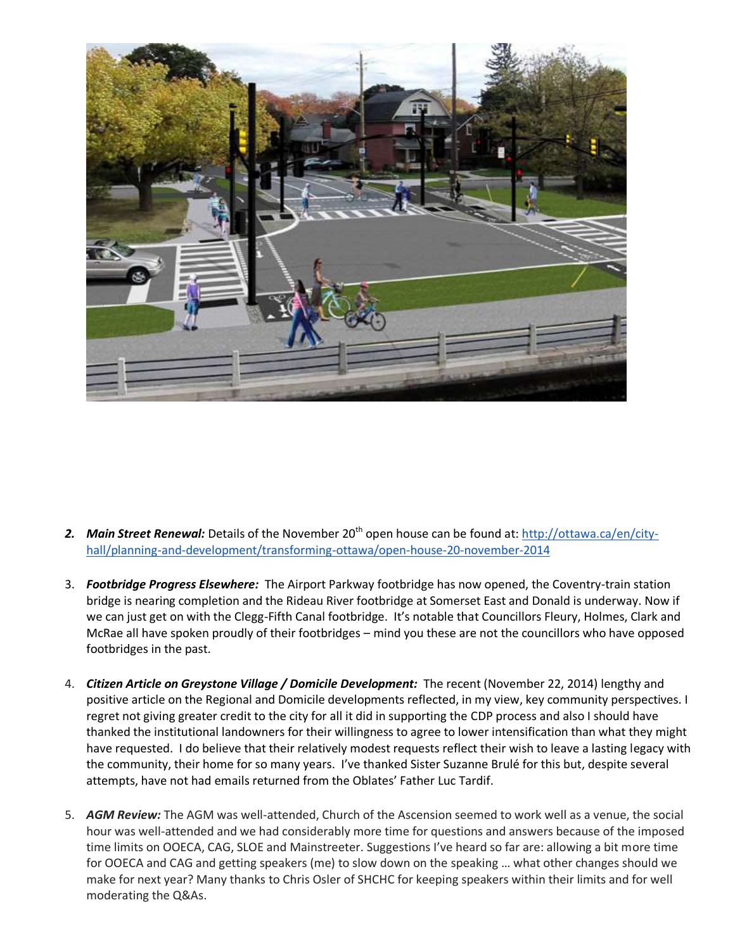

- 2. Main Street Renewal: Details of the November 20<sup>th</sup> open house can be found at: [http://ottawa.ca/en/city](http://ottawa.ca/en/city-hall/planning-and-development/transforming-ottawa/open-house-20-november-2014)[hall/planning-and-development/transforming-ottawa/open-house-20-november-2014](http://ottawa.ca/en/city-hall/planning-and-development/transforming-ottawa/open-house-20-november-2014)
- 3. *Footbridge Progress Elsewhere:* The Airport Parkway footbridge has now opened, the Coventry-train station bridge is nearing completion and the Rideau River footbridge at Somerset East and Donald is underway. Now if we can just get on with the Clegg-Fifth Canal footbridge. It's notable that Councillors Fleury, Holmes, Clark and McRae all have spoken proudly of their footbridges – mind you these are not the councillors who have opposed footbridges in the past.
- 4. *Citizen Article on Greystone Village / Domicile Development:* The recent (November 22, 2014) lengthy and positive article on the Regional and Domicile developments reflected, in my view, key community perspectives. I regret not giving greater credit to the city for all it did in supporting the CDP process and also I should have thanked the institutional landowners for their willingness to agree to lower intensification than what they might have requested. I do believe that their relatively modest requests reflect their wish to leave a lasting legacy with the community, their home for so many years. I've thanked Sister Suzanne Brulé for this but, despite several attempts, have not had emails returned from the Oblates' Father Luc Tardif.
- 5. *AGM Review:* The AGM was well-attended, Church of the Ascension seemed to work well as a venue, the social hour was well-attended and we had considerably more time for questions and answers because of the imposed time limits on OOECA, CAG, SLOE and Mainstreeter. Suggestions I've heard so far are: allowing a bit more time for OOECA and CAG and getting speakers (me) to slow down on the speaking … what other changes should we make for next year? Many thanks to Chris Osler of SHCHC for keeping speakers within their limits and for well moderating the Q&As.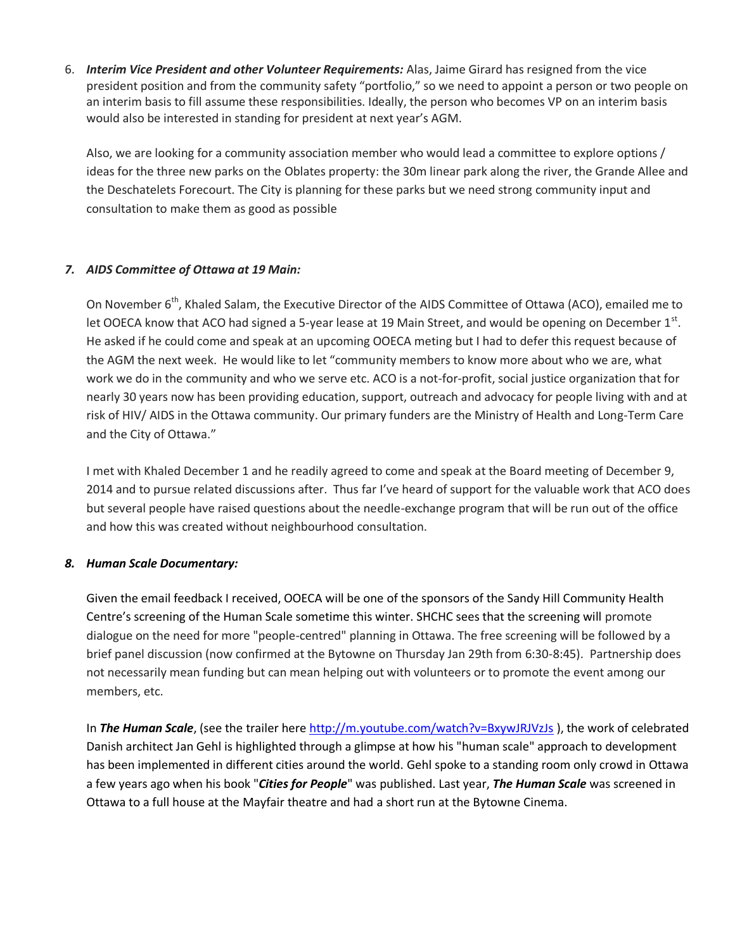6. *Interim Vice President and other Volunteer Requirements:* Alas, Jaime Girard has resigned from the vice president position and from the community safety "portfolio," so we need to appoint a person or two people on an interim basis to fill assume these responsibilities. Ideally, the person who becomes VP on an interim basis would also be interested in standing for president at next year's AGM.

Also, we are looking for a community association member who would lead a committee to explore options / ideas for the three new parks on the Oblates property: the 30m linear park along the river, the Grande Allee and the Deschatelets Forecourt. The City is planning for these parks but we need strong community input and consultation to make them as good as possible

#### *7. AIDS Committee of Ottawa at 19 Main:*

On November 6<sup>th</sup>, Khaled Salam, the Executive Director of the AIDS Committee of Ottawa (ACO), emailed me to let OOECA know that ACO had signed a 5-year lease at 19 Main Street, and would be opening on December  $1<sup>st</sup>$ . He asked if he could come and speak at an upcoming OOECA meting but I had to defer this request because of the AGM the next week. He would like to let "community members to know more about who we are, what work we do in the community and who we serve etc. ACO is a not-for-profit, social justice organization that for nearly 30 years now has been providing education, support, outreach and advocacy for people living with and at risk of HIV/ AIDS in the Ottawa community. Our primary funders are the Ministry of Health and Long-Term Care and the City of Ottawa."

I met with Khaled December 1 and he readily agreed to come and speak at the Board meeting of December 9, 2014 and to pursue related discussions after. Thus far I've heard of support for the valuable work that ACO does but several people have raised questions about the needle-exchange program that will be run out of the office and how this was created without neighbourhood consultation.

#### *8. Human Scale Documentary:*

Given the email feedback I received, OOECA will be one of the sponsors of the Sandy Hill Community Health Centre's screening of the Human Scale sometime this winter. SHCHC sees that the screening will promote dialogue on the need for more "people-centred" planning in Ottawa. The free screening will be followed by a brief panel discussion (now confirmed at the Bytowne on Thursday Jan 29th from 6:30-8:45). Partnership does not necessarily mean funding but can mean helping out with volunteers or to promote the event among our members, etc.

In *The Human Scale*, (see the trailer here<http://m.youtube.com/watch?v=BxywJRJVzJs> ), the work of celebrated Danish architect Jan Gehl is highlighted through a glimpse at how his "human scale" approach to development has been implemented in different cities around the world. Gehl spoke to a standing room only crowd in Ottawa a few years ago when his book "*Cities for People*" was published. Last year, *The Human Scale* was screened in Ottawa to a full house at the Mayfair theatre and had a short run at the Bytowne Cinema.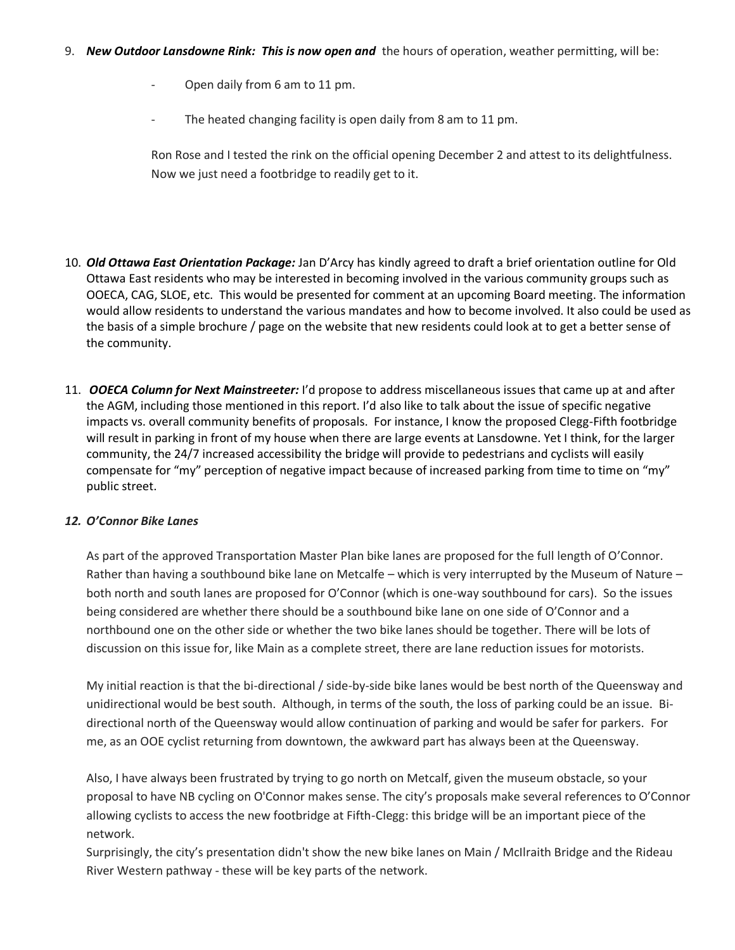- Open daily from 6 am to 11 pm.
- The heated changing facility is open daily from 8 am to 11 pm.

Ron Rose and I tested the rink on the official opening December 2 and attest to its delightfulness. Now we just need a footbridge to readily get to it.

- 10. *Old Ottawa East Orientation Package:* Jan D'Arcy has kindly agreed to draft a brief orientation outline for Old Ottawa East residents who may be interested in becoming involved in the various community groups such as OOECA, CAG, SLOE, etc. This would be presented for comment at an upcoming Board meeting. The information would allow residents to understand the various mandates and how to become involved. It also could be used as the basis of a simple brochure / page on the website that new residents could look at to get a better sense of the community.
- 11. *OOECA Column for Next Mainstreeter:* I'd propose to address miscellaneous issues that came up at and after the AGM, including those mentioned in this report. I'd also like to talk about the issue of specific negative impacts vs. overall community benefits of proposals. For instance, I know the proposed Clegg-Fifth footbridge will result in parking in front of my house when there are large events at Lansdowne. Yet I think, for the larger community, the 24/7 increased accessibility the bridge will provide to pedestrians and cyclists will easily compensate for "my" perception of negative impact because of increased parking from time to time on "my" public street.

#### *12. O'Connor Bike Lanes*

As part of the approved Transportation Master Plan bike lanes are proposed for the full length of O'Connor. Rather than having a southbound bike lane on Metcalfe – which is very interrupted by the Museum of Nature – both north and south lanes are proposed for O'Connor (which is one-way southbound for cars). So the issues being considered are whether there should be a southbound bike lane on one side of O'Connor and a northbound one on the other side or whether the two bike lanes should be together. There will be lots of discussion on this issue for, like Main as a complete street, there are lane reduction issues for motorists.

My initial reaction is that the bi-directional / side-by-side bike lanes would be best north of the Queensway and unidirectional would be best south. Although, in terms of the south, the loss of parking could be an issue. Bidirectional north of the Queensway would allow continuation of parking and would be safer for parkers. For me, as an OOE cyclist returning from downtown, the awkward part has always been at the Queensway.

Also, I have always been frustrated by trying to go north on Metcalf, given the museum obstacle, so your proposal to have NB cycling on O'Connor makes sense. The city's proposals make several references to O'Connor allowing cyclists to access the new footbridge at Fifth-Clegg: this bridge will be an important piece of the network.

Surprisingly, the city's presentation didn't show the new bike lanes on Main / McIlraith Bridge and the Rideau River Western pathway - these will be key parts of the network.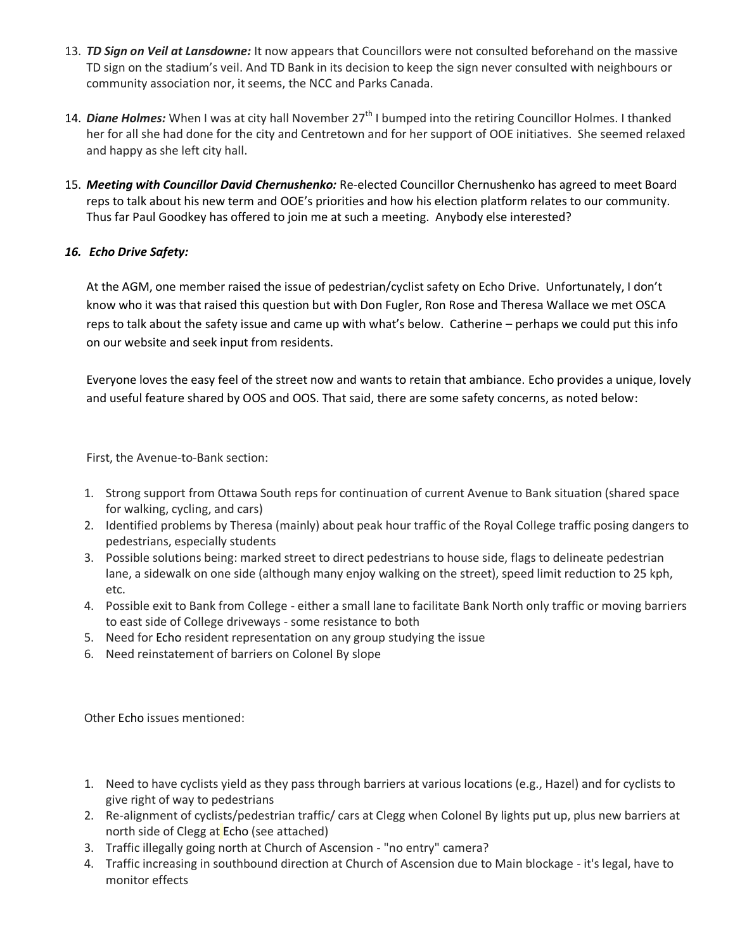- 13. *TD Sign on Veil at Lansdowne:* It now appears that Councillors were not consulted beforehand on the massive TD sign on the stadium's veil. And TD Bank in its decision to keep the sign never consulted with neighbours or community association nor, it seems, the NCC and Parks Canada.
- 14. **Diane Holmes:** When I was at city hall November 27<sup>th</sup> I bumped into the retiring Councillor Holmes. I thanked her for all she had done for the city and Centretown and for her support of OOE initiatives. She seemed relaxed and happy as she left city hall.
- 15. *Meeting with Councillor David Chernushenko:* Re-elected Councillor Chernushenko has agreed to meet Board reps to talk about his new term and OOE's priorities and how his election platform relates to our community. Thus far Paul Goodkey has offered to join me at such a meeting. Anybody else interested?

## *16. Echo Drive Safety:*

At the AGM, one member raised the issue of pedestrian/cyclist safety on Echo Drive. Unfortunately, I don't know who it was that raised this question but with Don Fugler, Ron Rose and Theresa Wallace we met OSCA reps to talk about the safety issue and came up with what's below. Catherine – perhaps we could put this info on our website and seek input from residents.

Everyone loves the easy feel of the street now and wants to retain that ambiance. Echo provides a unique, lovely and useful feature shared by OOS and OOS. That said, there are some safety concerns, as noted below:

First, the Avenue-to-Bank section:

- 1. Strong support from Ottawa South reps for continuation of current Avenue to Bank situation (shared space for walking, cycling, and cars)
- 2. Identified problems by Theresa (mainly) about peak hour traffic of the Royal College traffic posing dangers to pedestrians, especially students
- 3. Possible solutions being: marked street to direct pedestrians to house side, flags to delineate pedestrian lane, a sidewalk on one side (although many enjoy walking on the street), speed limit reduction to 25 kph, etc.
- 4. Possible exit to Bank from College either a small lane to facilitate Bank North only traffic or moving barriers to east side of College driveways - some resistance to both
- 5. Need for Echo resident representation on any group studying the issue
- 6. Need reinstatement of barriers on Colonel By slope

Other Echo issues mentioned:

- 1. Need to have cyclists yield as they pass through barriers at various locations (e.g., Hazel) and for cyclists to give right of way to pedestrians
- 2. Re-alignment of cyclists/pedestrian traffic/ cars at Clegg when Colonel By lights put up, plus new barriers at north side of Clegg at Echo (see attached)
- 3. Traffic illegally going north at Church of Ascension "no entry" camera?
- 4. Traffic increasing in southbound direction at Church of Ascension due to Main blockage it's legal, have to monitor effects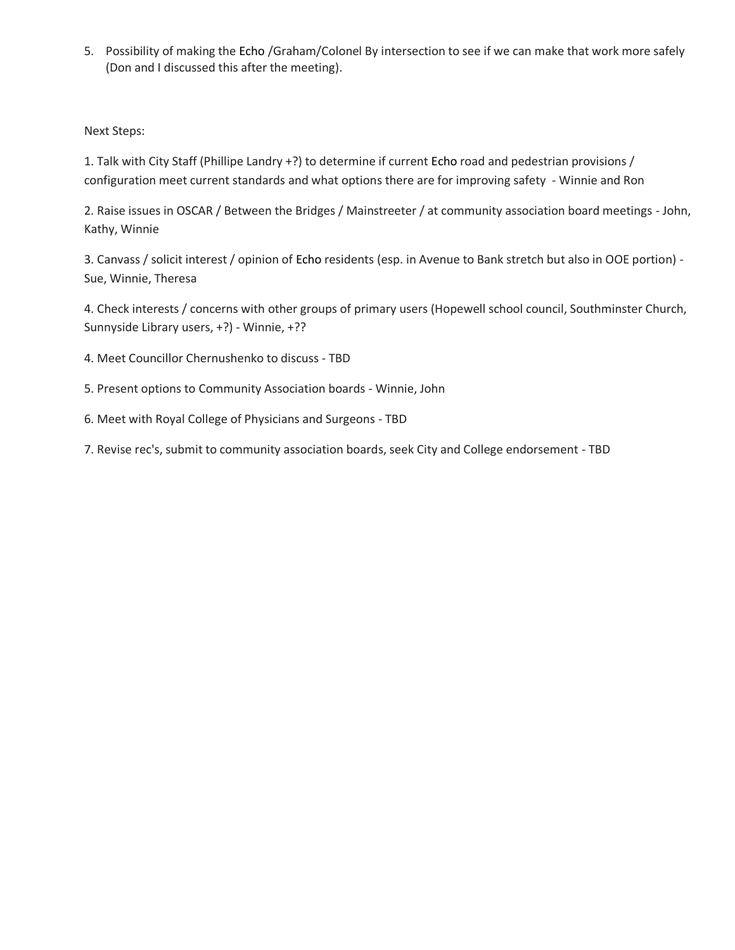5. Possibility of making the Echo /Graham/Colonel By intersection to see if we can make that work more safely (Don and I discussed this after the meeting).

Next Steps:

1. Talk with City Staff (Phillipe Landry +?) to determine if current Echo road and pedestrian provisions / configuration meet current standards and what options there are for improving safety - Winnie and Ron

2. Raise issues in OSCAR / Between the Bridges / Mainstreeter / at community association board meetings - John, Kathy, Winnie

3. Canvass / solicit interest / opinion of Echo residents (esp. in Avenue to Bank stretch but also in OOE portion) - Sue, Winnie, Theresa

4. Check interests / concerns with other groups of primary users (Hopewell school council, Southminster Church, Sunnyside Library users, +?) - Winnie, +??

4. Meet Councillor Chernushenko to discuss - TBD

- 5. Present options to Community Association boards Winnie, John
- 6. Meet with Royal College of Physicians and Surgeons TBD

7. Revise rec's, submit to community association boards, seek City and College endorsement - TBD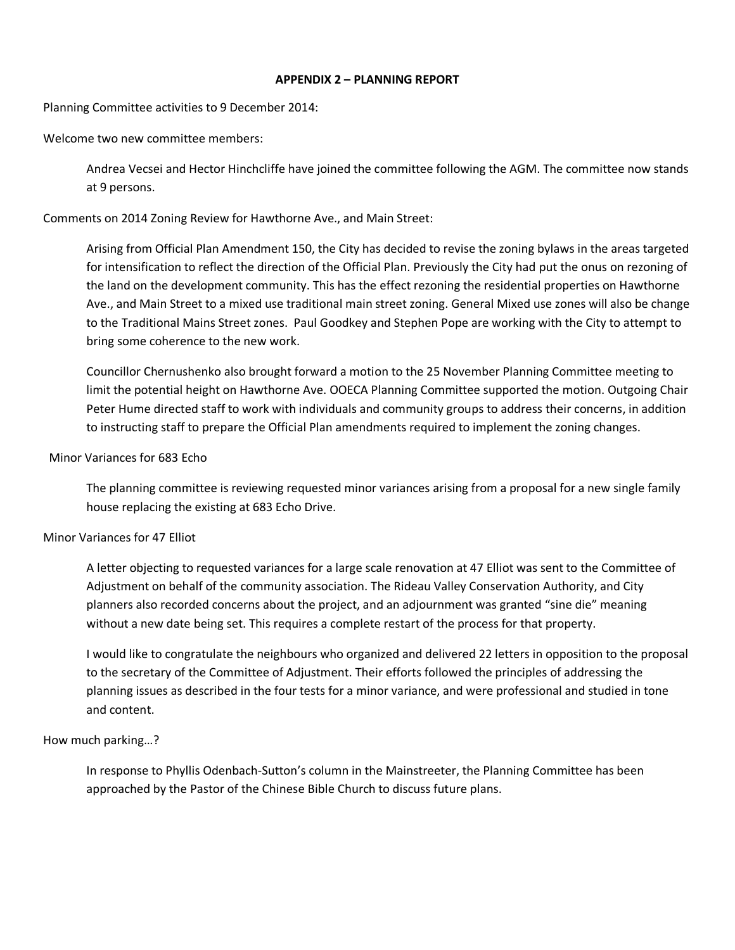#### **APPENDIX 2 – PLANNING REPORT**

Planning Committee activities to 9 December 2014:

Welcome two new committee members:

Andrea Vecsei and Hector Hinchcliffe have joined the committee following the AGM. The committee now stands at 9 persons.

Comments on 2014 Zoning Review for Hawthorne Ave., and Main Street:

Arising from Official Plan Amendment 150, the City has decided to revise the zoning bylaws in the areas targeted for intensification to reflect the direction of the Official Plan. Previously the City had put the onus on rezoning of the land on the development community. This has the effect rezoning the residential properties on Hawthorne Ave., and Main Street to a mixed use traditional main street zoning. General Mixed use zones will also be change to the Traditional Mains Street zones. Paul Goodkey and Stephen Pope are working with the City to attempt to bring some coherence to the new work.

Councillor Chernushenko also brought forward a motion to the 25 November Planning Committee meeting to limit the potential height on Hawthorne Ave. OOECA Planning Committee supported the motion. Outgoing Chair Peter Hume directed staff to work with individuals and community groups to address their concerns, in addition to instructing staff to prepare the Official Plan amendments required to implement the zoning changes.

#### Minor Variances for 683 Echo

The planning committee is reviewing requested minor variances arising from a proposal for a new single family house replacing the existing at 683 Echo Drive.

#### Minor Variances for 47 Elliot

A letter objecting to requested variances for a large scale renovation at 47 Elliot was sent to the Committee of Adjustment on behalf of the community association. The Rideau Valley Conservation Authority, and City planners also recorded concerns about the project, and an adjournment was granted "sine die" meaning without a new date being set. This requires a complete restart of the process for that property.

I would like to congratulate the neighbours who organized and delivered 22 letters in opposition to the proposal to the secretary of the Committee of Adjustment. Their efforts followed the principles of addressing the planning issues as described in the four tests for a minor variance, and were professional and studied in tone and content.

#### How much parking…?

In response to Phyllis Odenbach-Sutton's column in the Mainstreeter, the Planning Committee has been approached by the Pastor of the Chinese Bible Church to discuss future plans.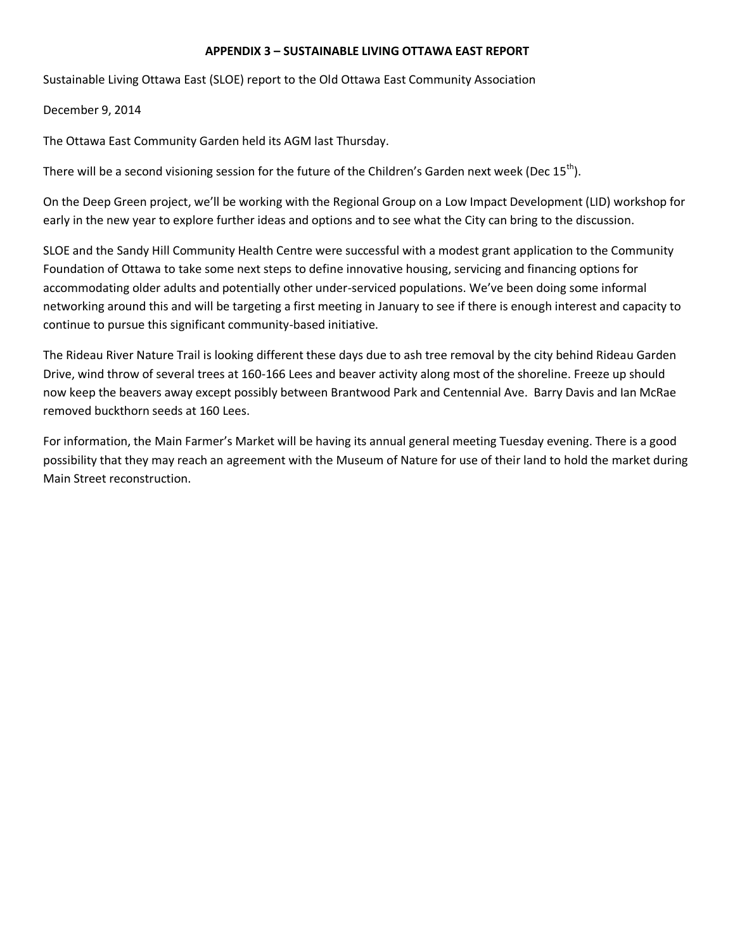#### **APPENDIX 3 – SUSTAINABLE LIVING OTTAWA EAST REPORT**

Sustainable Living Ottawa East (SLOE) report to the Old Ottawa East Community Association

December 9, 2014

The Ottawa East Community Garden held its AGM last Thursday.

There will be a second visioning session for the future of the Children's Garden next week (Dec  $15^{th}$ ).

On the Deep Green project, we'll be working with the Regional Group on a Low Impact Development (LID) workshop for early in the new year to explore further ideas and options and to see what the City can bring to the discussion.

SLOE and the Sandy Hill Community Health Centre were successful with a modest grant application to the Community Foundation of Ottawa to take some next steps to define innovative housing, servicing and financing options for accommodating older adults and potentially other under-serviced populations. We've been doing some informal networking around this and will be targeting a first meeting in January to see if there is enough interest and capacity to continue to pursue this significant community-based initiative.

The Rideau River Nature Trail is looking different these days due to ash tree removal by the city behind Rideau Garden Drive, wind throw of several trees at 160-166 Lees and beaver activity along most of the shoreline. Freeze up should now keep the beavers away except possibly between Brantwood Park and Centennial Ave. Barry Davis and Ian McRae removed buckthorn seeds at 160 Lees.

For information, the Main Farmer's Market will be having its annual general meeting Tuesday evening. There is a good possibility that they may reach an agreement with the Museum of Nature for use of their land to hold the market during Main Street reconstruction.